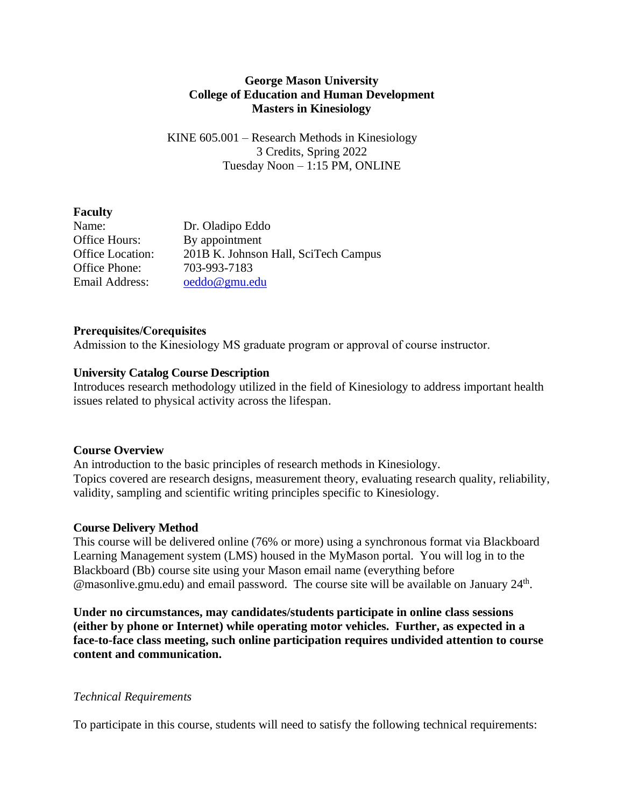### **George Mason University College of Education and Human Development Masters in Kinesiology**

KINE 605.001 – Research Methods in Kinesiology 3 Credits, Spring 2022 Tuesday Noon – 1:15 PM, ONLINE

#### **Faculty**

| Name:                   | Dr. Oladipo Eddo                     |
|-------------------------|--------------------------------------|
| Office Hours:           | By appointment                       |
| <b>Office Location:</b> | 201B K. Johnson Hall, SciTech Campus |
| Office Phone:           | 703-993-7183                         |
| Email Address:          | oeddo@gmu.edu                        |

### **Prerequisites/Corequisites**

Admission to the Kinesiology MS graduate program or approval of course instructor.

### **University Catalog Course Description**

Introduces research methodology utilized in the field of Kinesiology to address important health issues related to physical activity across the lifespan.

#### **Course Overview**

An introduction to the basic principles of research methods in Kinesiology. Topics covered are research designs, measurement theory, evaluating research quality, reliability, validity, sampling and scientific writing principles specific to Kinesiology.

### **Course Delivery Method**

This course will be delivered online (76% or more) using a synchronous format via Blackboard Learning Management system (LMS) housed in the MyMason portal. You will log in to the Blackboard (Bb) course site using your Mason email name (everything before @masonlive.gmu.edu) and email password. The course site will be available on January 24<sup>th</sup>.

**Under no circumstances, may candidates/students participate in online class sessions (either by phone or Internet) while operating motor vehicles. Further, as expected in a face-to-face class meeting, such online participation requires undivided attention to course content and communication.**

### *Technical Requirements*

To participate in this course, students will need to satisfy the following technical requirements: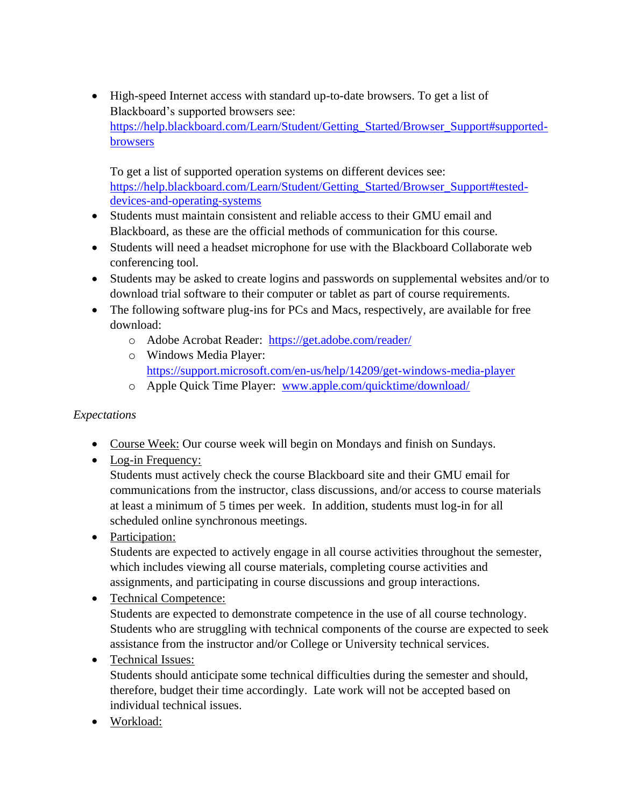• High-speed Internet access with standard up-to-date browsers. To get a list of Blackboard's supported browsers see: [https://help.blackboard.com/Learn/Student/Getting\\_Started/Browser\\_Support#supported](https://help.blackboard.com/Learn/Student/Getting_Started/Browser_Support#supported-browsers)[browsers](https://help.blackboard.com/Learn/Student/Getting_Started/Browser_Support#supported-browsers)

To get a list of supported operation systems on different devices see: [https://help.blackboard.com/Learn/Student/Getting\\_Started/Browser\\_Support#tested](https://help.blackboard.com/Learn/Student/Getting_Started/Browser_Support#tested-devices-and-operating-systems)[devices-and-operating-systems](https://help.blackboard.com/Learn/Student/Getting_Started/Browser_Support#tested-devices-and-operating-systems)

- Students must maintain consistent and reliable access to their GMU email and Blackboard, as these are the official methods of communication for this course.
- Students will need a headset microphone for use with the Blackboard Collaborate web conferencing tool.
- Students may be asked to create logins and passwords on supplemental websites and/or to download trial software to their computer or tablet as part of course requirements.
- The following software plug-ins for PCs and Macs, respectively, are available for free download:
	- o Adobe Acrobat Reader: <https://get.adobe.com/reader/>
	- o Windows Media Player: <https://support.microsoft.com/en-us/help/14209/get-windows-media-player>
	- o Apple Quick Time Player: [www.apple.com/quicktime/download/](http://www.apple.com/quicktime/download/)

# *Expectations*

- Course Week: Our course week will begin on Mondays and finish on Sundays.
- Log-in Frequency:

Students must actively check the course Blackboard site and their GMU email for communications from the instructor, class discussions, and/or access to course materials at least a minimum of 5 times per week. In addition, students must log-in for all scheduled online synchronous meetings.

• Participation:

Students are expected to actively engage in all course activities throughout the semester, which includes viewing all course materials, completing course activities and assignments, and participating in course discussions and group interactions.

• Technical Competence: Students are expected to demonstrate competence in the use of all course technology. Students who are struggling with technical components of the course are expected to seek assistance from the instructor and/or College or University technical services.

# • Technical Issues:

Students should anticipate some technical difficulties during the semester and should, therefore, budget their time accordingly. Late work will not be accepted based on individual technical issues.

• Workload: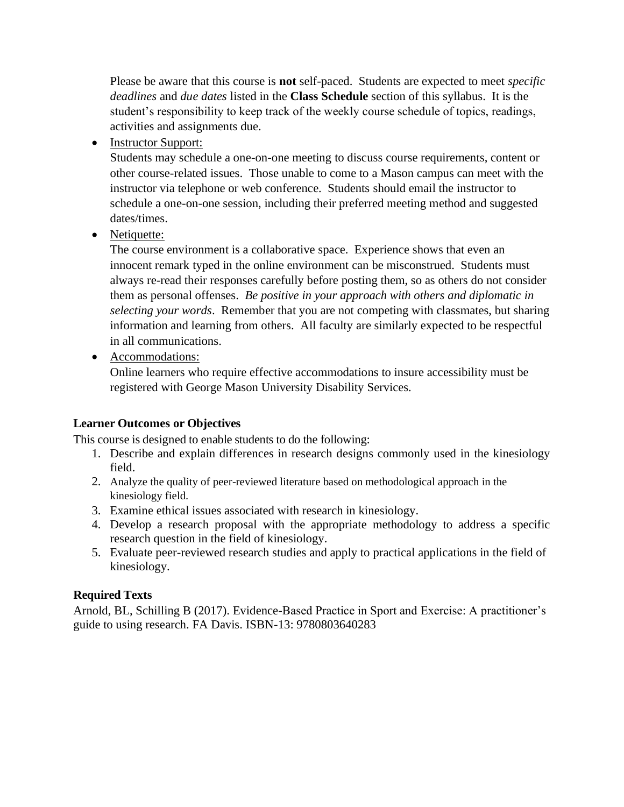Please be aware that this course is **not** self-paced. Students are expected to meet *specific deadlines* and *due dates* listed in the **Class Schedule** section of this syllabus. It is the student's responsibility to keep track of the weekly course schedule of topics, readings, activities and assignments due.

• Instructor Support:

Students may schedule a one-on-one meeting to discuss course requirements, content or other course-related issues. Those unable to come to a Mason campus can meet with the instructor via telephone or web conference. Students should email the instructor to schedule a one-on-one session, including their preferred meeting method and suggested dates/times.

• Netiquette:

The course environment is a collaborative space. Experience shows that even an innocent remark typed in the online environment can be misconstrued. Students must always re-read their responses carefully before posting them, so as others do not consider them as personal offenses. *Be positive in your approach with others and diplomatic in selecting your words*. Remember that you are not competing with classmates, but sharing information and learning from others. All faculty are similarly expected to be respectful in all communications.

• Accommodations:

Online learners who require effective accommodations to insure accessibility must be registered with George Mason University Disability Services.

# **Learner Outcomes or Objectives**

This course is designed to enable students to do the following:

- 1. Describe and explain differences in research designs commonly used in the kinesiology field.
- 2. Analyze the quality of peer-reviewed literature based on methodological approach in the kinesiology field.
- 3. Examine ethical issues associated with research in kinesiology.
- 4. Develop a research proposal with the appropriate methodology to address a specific research question in the field of kinesiology.
- 5. Evaluate peer-reviewed research studies and apply to practical applications in the field of kinesiology.

# **Required Texts**

Arnold, BL, Schilling B (2017). Evidence-Based Practice in Sport and Exercise: A practitioner's guide to using research. FA Davis. ISBN-13: 9780803640283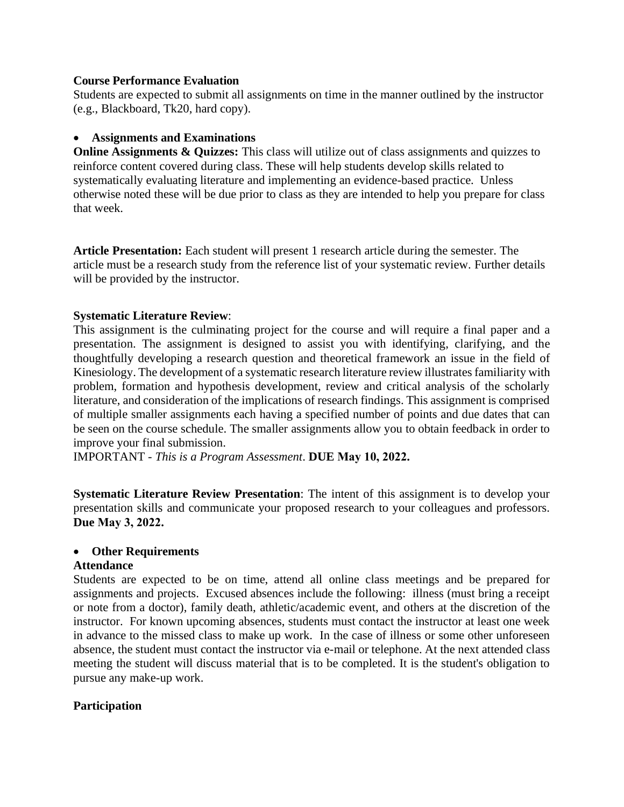#### **Course Performance Evaluation**

Students are expected to submit all assignments on time in the manner outlined by the instructor (e.g., Blackboard, Tk20, hard copy).

### • **Assignments and Examinations**

**Online Assignments & Quizzes:** This class will utilize out of class assignments and quizzes to reinforce content covered during class. These will help students develop skills related to systematically evaluating literature and implementing an evidence-based practice. Unless otherwise noted these will be due prior to class as they are intended to help you prepare for class that week.

**Article Presentation:** Each student will present 1 research article during the semester. The article must be a research study from the reference list of your systematic review. Further details will be provided by the instructor.

### **Systematic Literature Review**:

This assignment is the culminating project for the course and will require a final paper and a presentation. The assignment is designed to assist you with identifying, clarifying, and the thoughtfully developing a research question and theoretical framework an issue in the field of Kinesiology. The development of a systematic research literature review illustrates familiarity with problem, formation and hypothesis development, review and critical analysis of the scholarly literature, and consideration of the implications of research findings. This assignment is comprised of multiple smaller assignments each having a specified number of points and due dates that can be seen on the course schedule. The smaller assignments allow you to obtain feedback in order to improve your final submission.

IMPORTANT - *This is a Program Assessment*. **DUE May 10, 2022.**

**Systematic Literature Review Presentation:** The intent of this assignment is to develop your presentation skills and communicate your proposed research to your colleagues and professors. **Due May 3, 2022.**

#### • **Other Requirements**

#### **Attendance**

Students are expected to be on time, attend all online class meetings and be prepared for assignments and projects. Excused absences include the following: illness (must bring a receipt or note from a doctor), family death, athletic/academic event, and others at the discretion of the instructor. For known upcoming absences, students must contact the instructor at least one week in advance to the missed class to make up work. In the case of illness or some other unforeseen absence, the student must contact the instructor via e-mail or telephone. At the next attended class meeting the student will discuss material that is to be completed. It is the student's obligation to pursue any make-up work.

### **Participation**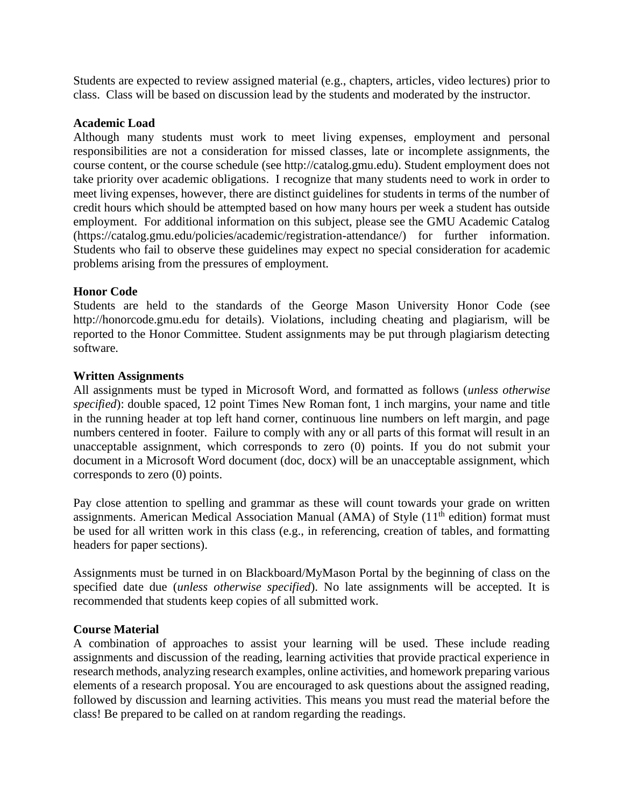Students are expected to review assigned material (e.g., chapters, articles, video lectures) prior to class. Class will be based on discussion lead by the students and moderated by the instructor.

#### **Academic Load**

Although many students must work to meet living expenses, employment and personal responsibilities are not a consideration for missed classes, late or incomplete assignments, the course content, or the course schedule (see http://catalog.gmu.edu). Student employment does not take priority over academic obligations. I recognize that many students need to work in order to meet living expenses, however, there are distinct guidelines for students in terms of the number of credit hours which should be attempted based on how many hours per week a student has outside employment. For additional information on this subject, please see the GMU Academic Catalog (https://catalog.gmu.edu/policies/academic/registration-attendance/) for further information. Students who fail to observe these guidelines may expect no special consideration for academic problems arising from the pressures of employment.

### **Honor Code**

Students are held to the standards of the George Mason University Honor Code (see http://honorcode.gmu.edu for details). Violations, including cheating and plagiarism, will be reported to the Honor Committee. Student assignments may be put through plagiarism detecting software.

### **Written Assignments**

All assignments must be typed in Microsoft Word, and formatted as follows (*unless otherwise specified*): double spaced, 12 point Times New Roman font, 1 inch margins, your name and title in the running header at top left hand corner, continuous line numbers on left margin, and page numbers centered in footer. Failure to comply with any or all parts of this format will result in an unacceptable assignment, which corresponds to zero (0) points. If you do not submit your document in a Microsoft Word document (doc, docx) will be an unacceptable assignment, which corresponds to zero (0) points.

Pay close attention to spelling and grammar as these will count towards your grade on written assignments. American Medical Association Manual (AMA) of Style (11<sup>th</sup> edition) format must be used for all written work in this class (e.g., in referencing, creation of tables, and formatting headers for paper sections).

Assignments must be turned in on Blackboard/MyMason Portal by the beginning of class on the specified date due (*unless otherwise specified*). No late assignments will be accepted. It is recommended that students keep copies of all submitted work.

### **Course Material**

A combination of approaches to assist your learning will be used. These include reading assignments and discussion of the reading, learning activities that provide practical experience in research methods, analyzing research examples, online activities, and homework preparing various elements of a research proposal. You are encouraged to ask questions about the assigned reading, followed by discussion and learning activities. This means you must read the material before the class! Be prepared to be called on at random regarding the readings.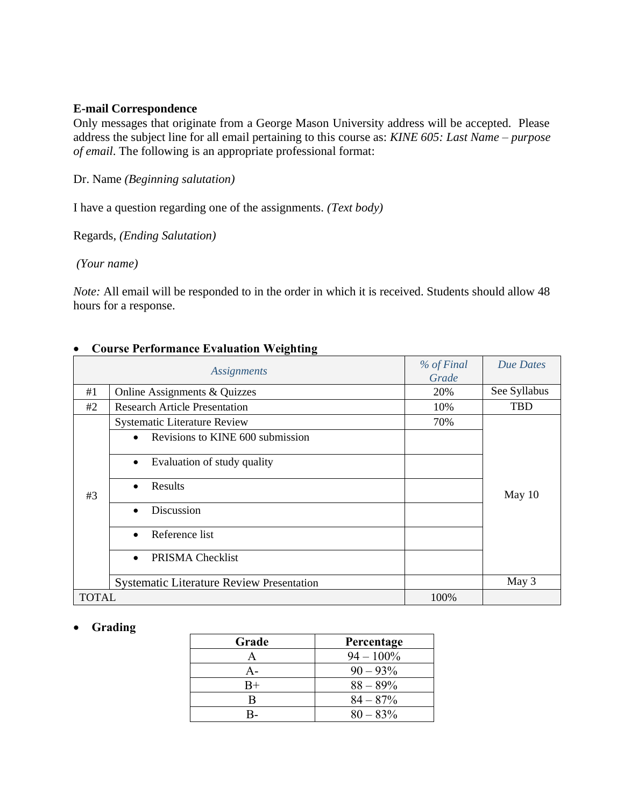#### **E-mail Correspondence**

Only messages that originate from a George Mason University address will be accepted. Please address the subject line for all email pertaining to this course as: *KINE 605: Last Name – purpose of email*. The following is an appropriate professional format:

Dr. Name *(Beginning salutation)*

I have a question regarding one of the assignments. *(Text body)*

Regards, *(Ending Salutation)*

*(Your name)*

*Note:* All email will be responded to in the order in which it is received. Students should allow 48 hours for a response.

|              | <b>Assignments</b>                               | % of Final<br>Grade | Due Dates    |
|--------------|--------------------------------------------------|---------------------|--------------|
| #1           | Online Assignments & Quizzes                     | 20%                 | See Syllabus |
| #2           | <b>Research Article Presentation</b>             | 10%                 | <b>TBD</b>   |
| #3           | <b>Systematic Literature Review</b>              | 70%                 |              |
|              | Revisions to KINE 600 submission<br>$\bullet$    |                     |              |
|              | Evaluation of study quality<br>$\bullet$         |                     |              |
|              | Results<br>$\bullet$                             |                     | May 10       |
|              | Discussion<br>$\bullet$                          |                     |              |
|              | Reference list<br>$\bullet$                      |                     |              |
|              | PRISMA Checklist<br>$\bullet$                    |                     |              |
|              | <b>Systematic Literature Review Presentation</b> |                     | May 3        |
| <b>TOTAL</b> |                                                  | 100%                |              |

### • **Course Performance Evaluation Weighting**

#### • **Grading**

| Grade       | Percentage   |
|-------------|--------------|
| А           | $94 - 100\%$ |
| А-          | $90 - 93\%$  |
| $_{\rm B+}$ | $88 - 89\%$  |
| B           | $84 - 87%$   |
|             | $80 - 83\%$  |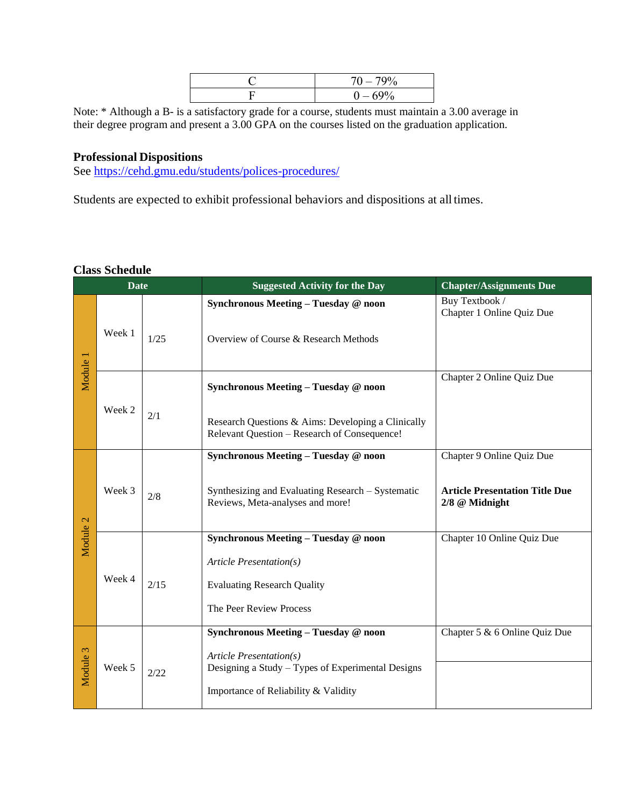| '9% |
|-----|
| 69% |

Note: \* Although a B- is a satisfactory grade for a course, students must maintain a 3.00 average in their degree program and present a 3.00 GPA on the courses listed on the graduation application.

#### **Professional Dispositions**

See<https://cehd.gmu.edu/students/polices-procedures/>

Students are expected to exhibit professional behaviors and dispositions at all times.

#### **Class Schedule**

| <b>Date</b> |        |      | <b>Suggested Activity for the Day</b>                                                                                                                               | <b>Chapter/Assignments Due</b>                                                       |
|-------------|--------|------|---------------------------------------------------------------------------------------------------------------------------------------------------------------------|--------------------------------------------------------------------------------------|
| Module 1    | Week 1 | 1/25 | Synchronous Meeting - Tuesday @ noon<br>Overview of Course & Research Methods                                                                                       | Buy Textbook /<br>Chapter 1 Online Quiz Due                                          |
|             | Week 2 | 2/1  | Synchronous Meeting - Tuesday @ noon<br>Research Questions & Aims: Developing a Clinically<br>Relevant Question - Research of Consequence!                          | Chapter 2 Online Quiz Due                                                            |
| Module 2    | Week 3 | 2/8  | Synchronous Meeting - Tuesday @ noon<br>Synthesizing and Evaluating Research - Systematic<br>Reviews, Meta-analyses and more!                                       | Chapter 9 Online Quiz Due<br><b>Article Presentation Title Due</b><br>2/8 @ Midnight |
|             | Week 4 | 2/15 | Synchronous Meeting - Tuesday @ noon<br>Article Presentation(s)<br><b>Evaluating Research Quality</b><br>The Peer Review Process                                    | Chapter 10 Online Quiz Due                                                           |
| Module 3    | Week 5 | 2/22 | Synchronous Meeting - Tuesday @ noon<br><b>Article Presentation(s)</b><br>Designing a Study – Types of Experimental Designs<br>Importance of Reliability & Validity | Chapter 5 & 6 Online Quiz Due                                                        |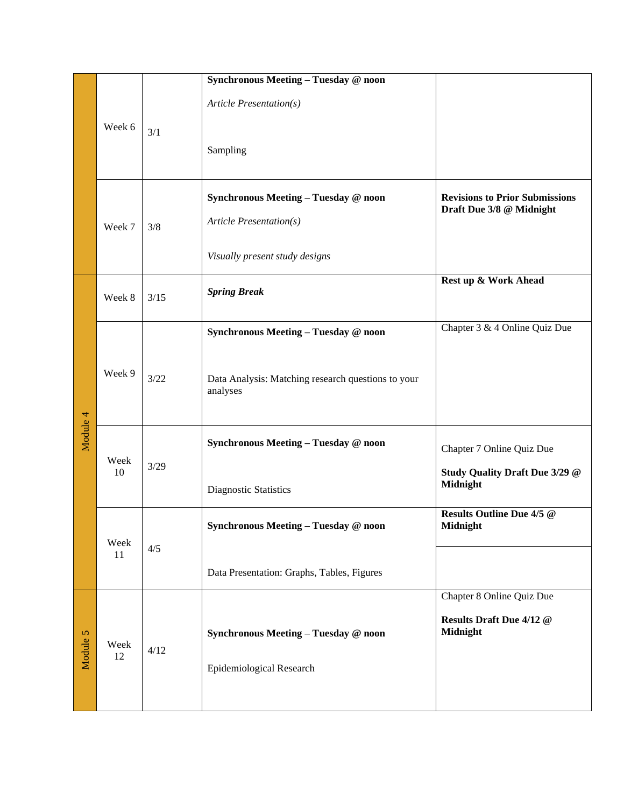|          |            |      | Synchronous Meeting - Tuesday @ noon<br>Article Presentation(s)                                   |                                                                   |
|----------|------------|------|---------------------------------------------------------------------------------------------------|-------------------------------------------------------------------|
|          | Week 6     | 3/1  | Sampling                                                                                          |                                                                   |
|          | Week 7     | 3/8  | Synchronous Meeting - Tuesday @ noon<br>Article Presentation(s)<br>Visually present study designs | <b>Revisions to Prior Submissions</b><br>Draft Due 3/8 @ Midnight |
|          | Week 8     | 3/15 | <b>Spring Break</b>                                                                               | Rest up & Work Ahead                                              |
|          |            | 3/22 | Synchronous Meeting - Tuesday @ noon                                                              | Chapter 3 & 4 Online Quiz Due                                     |
| Module 4 | Week 9     |      | Data Analysis: Matching research questions to your<br>analyses                                    |                                                                   |
|          | Week<br>10 | 3/29 | Synchronous Meeting - Tuesday @ noon                                                              | Chapter 7 Online Quiz Due                                         |
|          |            |      | Diagnostic Statistics                                                                             | Study Quality Draft Due 3/29 @<br><b>Midnight</b>                 |
|          | Week<br>11 | 4/5  | Synchronous Meeting - Tuesday @ noon                                                              | <b>Results Outline Due 4/5 @</b><br><b>Midnight</b>               |
|          |            |      | Data Presentation: Graphs, Tables, Figures                                                        |                                                                   |
| Module 5 | Week<br>12 | 4/12 | Synchronous Meeting - Tuesday @ noon<br>Epidemiological Research                                  | Chapter 8 Online Quiz Due<br>Results Draft Due 4/12 @<br>Midnight |
|          |            |      |                                                                                                   |                                                                   |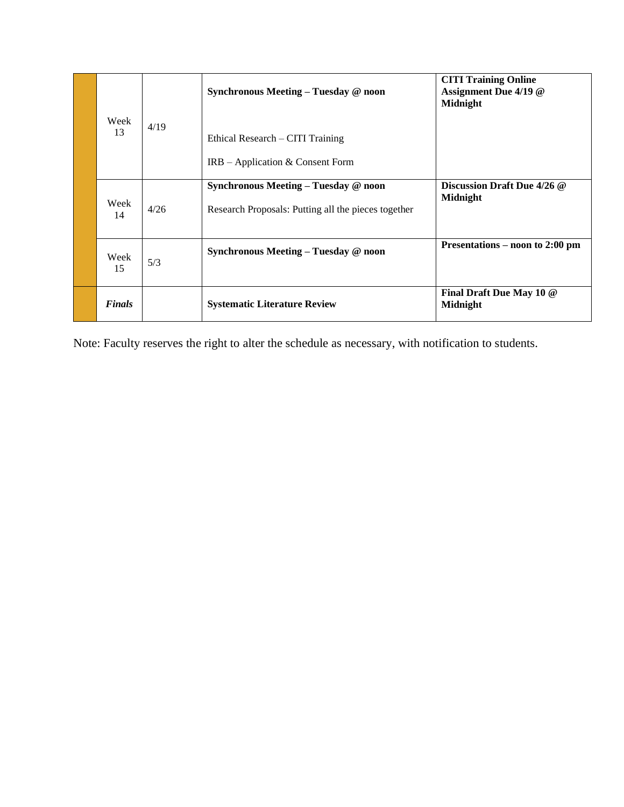| Week<br>13    | 4/19 | Synchronous Meeting - Tuesday @ noon<br>Ethical Research – CITI Training                    | <b>CITI Training Online</b><br>Assignment Due 4/19 @<br><b>Midnight</b> |
|---------------|------|---------------------------------------------------------------------------------------------|-------------------------------------------------------------------------|
|               |      | $IRB - Application & Consent Form$                                                          |                                                                         |
| Week<br>14    | 4/26 | Synchronous Meeting - Tuesday @ noon<br>Research Proposals: Putting all the pieces together | Discussion Draft Due 4/26 @<br>Midnight                                 |
| Week<br>15    | 5/3  | Synchronous Meeting – Tuesday @ noon                                                        | Presentations – noon to 2:00 pm                                         |
| <b>Finals</b> |      | <b>Systematic Literature Review</b>                                                         | Final Draft Due May 10 @<br>Midnight                                    |

Note: Faculty reserves the right to alter the schedule as necessary, with notification to students.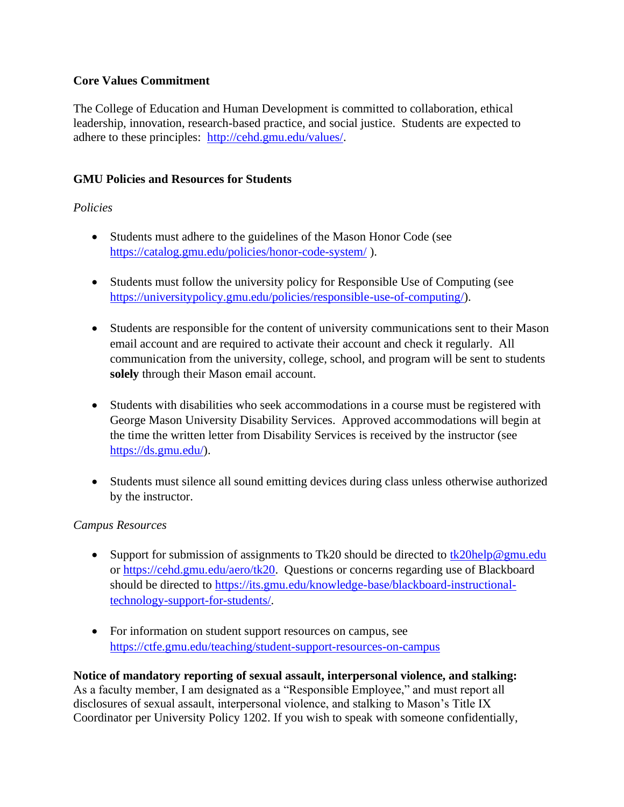### **Core Values Commitment**

The College of Education and Human Development is committed to collaboration, ethical leadership, innovation, research-based practice, and social justice. Students are expected to adhere to these principles: [http://cehd.gmu.edu/values/.](http://cehd.gmu.edu/values/)

### **GMU Policies and Resources for Students**

### *Policies*

- Students must adhere to the guidelines of the Mason Honor Code (see <https://catalog.gmu.edu/policies/honor-code-system/> ).
- Students must follow the university policy for Responsible Use of Computing (see [https://universitypolicy.gmu.edu/policies/responsible-use-of-computing/\)](https://universitypolicy.gmu.edu/policies/responsible-use-of-computing/).
- Students are responsible for the content of university communications sent to their Mason email account and are required to activate their account and check it regularly. All communication from the university, college, school, and program will be sent to students **solely** through their Mason email account.
- Students with disabilities who seek accommodations in a course must be registered with George Mason University Disability Services. Approved accommodations will begin at the time the written letter from Disability Services is received by the instructor (see [https://ds.gmu.edu/\)](https://ds.gmu.edu/).
- Students must silence all sound emitting devices during class unless otherwise authorized by the instructor.

### *Campus Resources*

- Support for submission of assignments to Tk20 should be directed to  $\frac{tk20\text{help@gmu.edu}}{tk20\text{help@gmu.edu}}$ or [https://cehd.gmu.edu/aero/tk20.](https://cehd.gmu.edu/aero/tk20) Questions or concerns regarding use of Blackboard should be directed to [https://its.gmu.edu/knowledge-base/blackboard-instructional](https://its.gmu.edu/knowledge-base/blackboard-instructional-technology-support-for-students/)[technology-support-for-students/.](https://its.gmu.edu/knowledge-base/blackboard-instructional-technology-support-for-students/)
- For information on student support resources on campus, see <https://ctfe.gmu.edu/teaching/student-support-resources-on-campus>

### **Notice of mandatory reporting of sexual assault, interpersonal violence, and stalking:** As a faculty member, I am designated as a "Responsible Employee," and must report all disclosures of sexual assault, interpersonal violence, and stalking to Mason's Title IX Coordinator per University Policy 1202. If you wish to speak with someone confidentially,